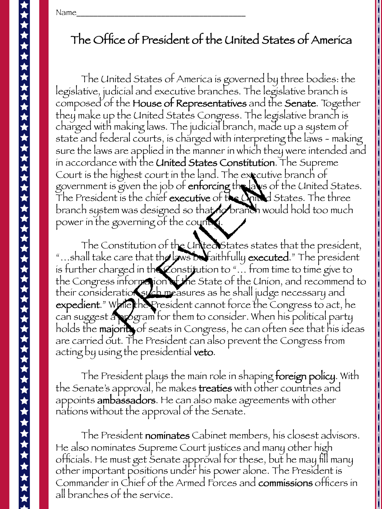Name\_\_\_\_\_\_\_\_\_\_\_\_\_\_\_\_\_\_\_\_\_\_\_\_\_\_\_\_\_\_\_\_\_\_\_\_\_\_\_\_ 

## The Office of President of the United States of America

The United States of America is governed by three bodies: the legislative, judicial and executive branches. The legislative branch is composed of the House of Representatives and the Senate. Together they make up the United States Congress. The legislative branch is charged with making laws. The judicial branch, made up a system of state and federal courts, is charged with interpreting the laws - making sure the laws are applied in the manner in which they were intended and in accordance with the United States Constitution. The Supreme Court is the highest court in the land. The executive branch of government is given the job of enforcing the laws of the United States. The President is the chief executive of the United States. The three branch system was designed so that no branch would hold too much power in the governing of the country.

The Constitution of the United States states that the president, "...shall take care that the laws be faithfully executed." The president is further charged in the Constitution to "… from time to time give to the Congress information of the State of the Union, and recommend to their consideration such measures as he shall judge necessary and expedient." While the President cannot force the Congress to act, he can suggest a program for them to consider. When his political party holds the majority of seats in Congress, he can often see that his ideas are carried out. The President can also prevent the Congress from acting by using the presidential veto. highest court in the land. The executive is given the job of enforcing the laws of<br>the six of the chief executive of the Chinal<br>em was designed so that robranch wo<br>governing of the country<br>obstitution of the United States

The President plays the main role in shaping foreign policy. With the Senate's approval, he makes treaties with other countries and appoints ambassadors. He can also make agreements with other nations without the approval of the Senate.

The President nominates Cabinet members, his closest advisors. He also nominates Supreme Court justices and many other high officials. He must get Senate approval for these, but he may fill many other important positions under his power alone. The President is Commander in Chief of the Armed Forces and commissions officers in all branches of the service.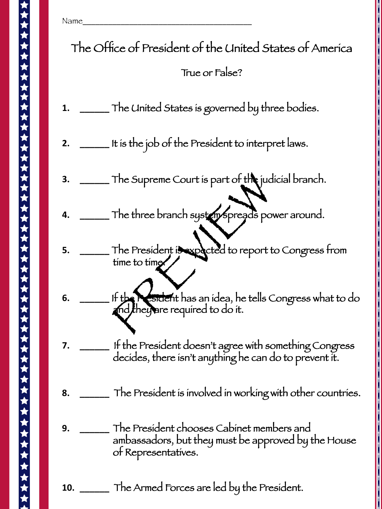Name\_\_\_\_\_\_\_\_\_\_\_\_\_\_\_\_\_\_\_\_\_\_\_\_\_\_\_\_\_\_\_\_\_\_\_\_\_\_\_\_ The Office of President of the United States of America True or False? **1. \_\_\_\_\_\_** The United States is governed by three bodies. **2. \_\_\_\_\_\_** It is the job of the President to interpret laws. **3. \_\_\_\_\_\_** The Supreme Court is part of the judicial branch. **4. \_\_\_\_\_** The three branch system spreads power around. **5. \_\_\_\_\_\_** The President is expected to report to Congress from time to time **6. \_\_\_\_\_\_** If the President has an idea, he tells Congress what to do  $\mathcal{L}^{\text{max}}_{\text{max}}$  $\operatorname{\mathsf{Ind}}$  they are required to do it. **7. \_\_\_\_\_\_** If the President doesn't agree with something Congress decides, there isn't anything he can do to prevent it. **8. \_\_\_\_\_\_** The President is involved in working with other countries. **9. \_\_\_\_\_\_** The President chooses Cabinet members and  $\mathbf{r}$ ambassadors, but they must be approved by the House of Representatives. **10. \_\_\_\_\_\_** The Armed Forces are led by the President. The Supreme Court is part of the jud<br>The three branch system spreads por<br>The President is expected to report t<br>time to time<br>If the president has an idea, he tells C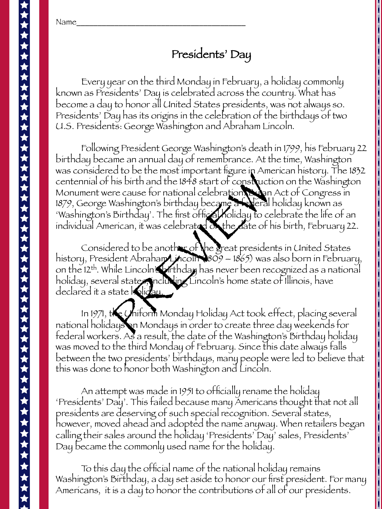Name\_\_\_\_\_\_\_\_\_\_\_\_\_\_\_\_\_\_\_\_\_\_\_\_\_\_\_\_\_\_\_\_\_\_\_\_\_\_\_\_ 

## Presidents' Day

Every year on the third Monday in February, a holiday commonly known as Presidents' Day is celebrated across the country. What has become a day to honor all United States presidents, was not always so. Presidents' Day has its origins in the celebration of the birthdays of two U.S. Presidents: George Washington and Abraham Lincoln.

Following President George Washington's death in 1799, his February 22 birthday became an annual day of remembrance. At the time, Washington was considered to be the most important figure in American history. The 1832 centennial of his birth and the 1848 start of construction on the Washington Monument were cause for national celebration. By an Act of Congress in 1879, George Washington's birthday became a federal holiday known as 'Washington's Birthday'. The first official holiday to celebrate the life of an individual American, it was celebrated on the date of his birth, February 22. State Better Most important insure White<br>this birth and the 1848 start of construction<br>of Mashington's birthday became a Werall<br>Birthday'. The first official holiday to ce<br>erican, it was celebrated to the date of h<br>ered to

Considered to be another of the great presidents in United States history, President Abraham Lincoln (1809 – 1865) was also born in February, on the 12th. While Lincoln's birthday has never been recognized as a national holiday, several states, including Lincoln's home state of Illinois, have declared it a state holiday.

In 1971, the Uniform Monday Holiday Act took effect, placing several national holidays on Mondays in order to create three day weekends for federal workers. As a result, the date of the Washington's Birthday holiday was moved to the third Monday of February. Since this date always falls between the two presidents' birthdays, many people were led to believe that this was done to honor both Washington and Lincoln.

An attempt was made in 1951 to officially rename the holiday 'Presidents' Day'. This failed because many Americans thought that not all presidents are deserving of such special recognition. Several states, however, moved ahead and adopted the name anyway. When retailers began calling their sales around the holiday 'Presidents' Day' sales, Presidents' Day became the commonly used name for the holiday.

To this day the official name of the national holiday remains Washington's Birthday, a day set aside to honor our first president. For many Americans, it is a day to honor the contributions of all of our presidents.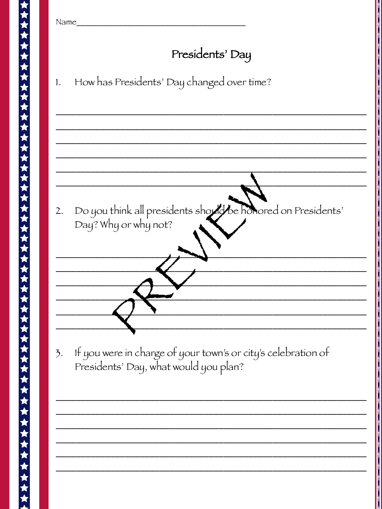| Name                                                                                                         |
|--------------------------------------------------------------------------------------------------------------|
| Presidents' Day                                                                                              |
| How has Presidents' Day changed over time?<br>1.                                                             |
|                                                                                                              |
|                                                                                                              |
|                                                                                                              |
| Do you think all presidents should be honored on Presidents'<br>2.<br>Day? Why or why not?                   |
|                                                                                                              |
|                                                                                                              |
|                                                                                                              |
| If you were in charge of your town's or city's celebration of<br>3.<br>Presidents' Day, what would you plan? |
|                                                                                                              |
|                                                                                                              |
|                                                                                                              |
|                                                                                                              |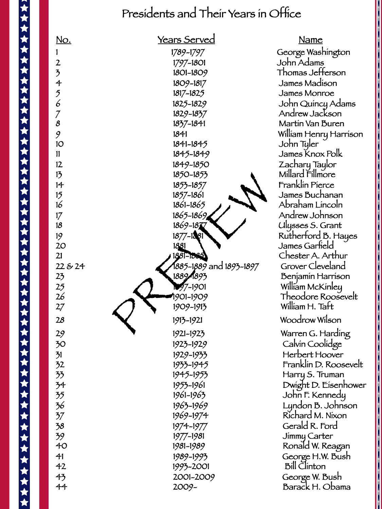## Presidents and Their Years in Office



 George Washington John Adams Thomas Jefferson James Madison James Monroe John Quincy Adams Andrew Jackson Martin Van Buren William Henry Harrison John Tyler James Knox Polk Zachary Taylor Millard Fillmore **Example Franklin Pierce** James Buchanan Abraham Lincoln Andrew Johnson Ulysses S. Grant Rutherford B. Hayes James Garfield Chester A. Arthur Grover Cleveland Benjamin Harrison William McKinley Theodore Roosevelt William H. Taft Woodrow Wilson Warren G. Harding Calvin Coolidge Herbert Hoover Franklin D. Roosevelt Harry S. Truman Dwight D. Eisenhower John F. Kennedy Lyndon B. Johnson Richard M. Nixon Gerald R. Ford Jimmy Carter Ronald W. Reagan George H.W. Bush Bill Clinton

> George W. Bush Barack H. Obama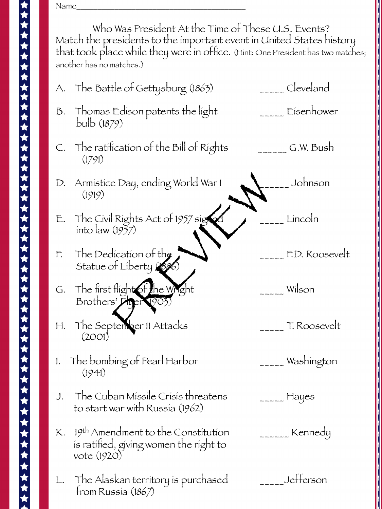Name\_\_\_\_\_\_\_\_\_\_\_\_\_\_\_\_\_\_\_\_\_\_\_\_\_\_\_\_\_\_\_\_\_\_\_\_\_\_\_\_ 

Who Was President At the Time of These U.S. Events? Match the presidents to the important event in United States history that took place while they were in office. (Hint: One President has two matches; another has no matches.)